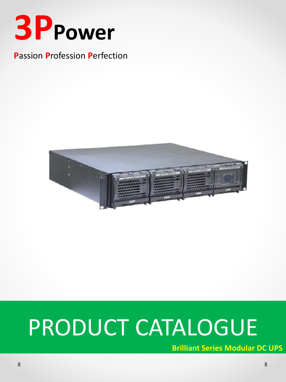

### **Passion Profession Perfection**



# PRODUCT CATALOGUE

**Brilliant Series Modular DC UPS**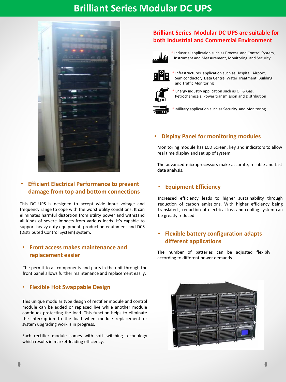## **Brilliant Series Modular DC UPS**



#### • **Efficient Electrical Performance to prevent damage from top and bottom connections**

This DC UPS is designed to accept wide input voltage and frequency range to cope with the worst utility conditions. It can eliminates harmful distortion from utility power and withstand all kinds of severe impacts from various loads. It's capable to support heavy duty equipment, production equipment and DCS (Distributed Control System) system.

#### • **Front access makes maintenance and replacement easier**

The permit to all components and parts in the unit through the front panel allows further maintenance and replacement easily.

#### • **Flexible Hot Swappable Design**

This unique modular type design of rectifier module and control module can be added or replaced live while another module continues protecting the load. This function helps to eliminate the interruption to the load when module replacement or system upgrading work is in progress.

Each rectifier module comes with soft-switching technology which results in market-leading efficiency.

#### **Brilliant Series Modular DC UPS are suitable for both Industrial and Commercial Environment**



\* Industrial application such as Process and Control System, Instrument and Measurement, Monitoring and Security



Infrastructures application such as Hospital, Airport, Semiconductor, Data Centre, Water Treatment, Building and Traffic Monitoring



Energy industry application such as Oil & Gas, Petrochemicals, Power transmission and Distribution



Military application such as Security and Monitoring

#### • **Display Panel for monitoring modules**

Monitoring module has LCD Screen, key and indicators to allow real time display and set up of system.

The advanced microprocessors make accurate, reliable and fast data analysis.

#### • **Equipment Efficiency**

Increased efficiency leads to higher sustainability through reduction of carbon emissions. With higher efficiency being translated , reduction of electrical loss and cooling system can be greatly reduced.

#### • **Flexible battery configuration adapts different applications**

The number of batteries can be adjusted flexibly according to different power demands.

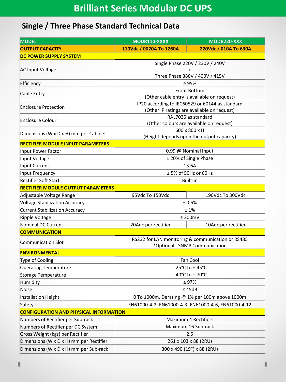## **Single / Three Phase Standard Technical Data**

| <b>MODEL</b>                                  | MODR110-XXXX                                                       | MODR220-XXX           |
|-----------------------------------------------|--------------------------------------------------------------------|-----------------------|
| <b>OUTPUT CAPACITY</b>                        | 110Vdc / 0020A To 1260A                                            | 220Vdc / 010A To 630A |
| <b>DC POWER SUPPLY SYSTEM</b>                 |                                                                    |                       |
| <b>AC Input Voltage</b>                       | Single Phase 220V / 230V / 240V                                    |                       |
|                                               | or                                                                 |                       |
|                                               | Three Phase 380V / 400V / 415V                                     |                       |
| Efficiency                                    | $\geq 95\%$                                                        |                       |
| Cable Entry                                   | <b>Front Bottom</b><br>(Other cable entry is available on request) |                       |
|                                               | IP20 according to IEC60529 or 60144 as standard                    |                       |
| <b>Enclosure Protection</b>                   | (Other IP ratings are available on request)                        |                       |
| <b>Enclosure Colour</b>                       | RAL7035 as standard                                                |                       |
|                                               | (Other colours are available on request)                           |                       |
| Dimensions (W x D x H) mm per Cabinet         | 600 x 800 x H                                                      |                       |
|                                               | (Height depends upon the output capacity)                          |                       |
| <b>RECTIFIER MODULE INPUT PARAMETERS</b>      |                                                                    |                       |
| Input Power Factor                            | 0.99 @ Nominal Input                                               |                       |
| Input Voltage                                 | ± 20% of Single Phase                                              |                       |
| Input Current                                 | 13.6A                                                              |                       |
| Input Frequency                               | ± 5% of 50Hz or 60Hz                                               |                       |
| Rectifier Soft Start                          | Built-in                                                           |                       |
| <b>RECTIFIER MODULE OUTPUT PARAMETERS</b>     |                                                                    |                       |
| Adjustable Voltage Range                      | 95Vdc To 150Vdc                                                    | 190Vdc To 300Vdc      |
| Voltage Stabilization Accuracy                | ± 0.5%                                                             |                       |
| <b>Current Stabilization Accuracy</b>         | ±1%                                                                |                       |
| Ripple Voltage                                | $≤ 200mV$                                                          |                       |
| Nominal DC Current                            | 20Adc per rectifier                                                | 10Adc per rectifier   |
| <b>COMMUNICATION</b>                          |                                                                    |                       |
| Communication Slot                            | RS232 for LAN monitoring & communication or RS485                  |                       |
|                                               | *Optional - SNMP Communication                                     |                       |
| <b>ENVIRONMENTAL</b>                          |                                                                    |                       |
| Type of Cooling                               | Fan Cool                                                           |                       |
| <b>Operating Temperature</b>                  | $-25^{\circ}$ C to +45 $^{\circ}$ C                                |                       |
| Storage Temperature                           | $-40^{\circ}$ C to + 70 $^{\circ}$ C                               |                       |
| Humidity                                      | $\leq 97\%$                                                        |                       |
| Noise                                         | $\leq 45dB$                                                        |                       |
| Installation Height                           | 0 To 1000m, Derating @ 1% per 100m above 1000m                     |                       |
| Safety                                        | EN61000-4-2, EN61000-4-3, EN61000-4-6, EN61000-4-12                |                       |
| <b>CONFIGURATION AND PHYSICAL INFORMATION</b> |                                                                    |                       |
| Numbers of Rectifier per Sub-rack             | Maximum 4 Rectifiers                                               |                       |
| Numbers of Rectifier per DC System            | Maximum 16 Sub-rack                                                |                       |
| Gross Weight (kgs) per Rectifier              | 2.5                                                                |                       |
| Dimensions (W x D x H) mm per Rectifier       | 261 x 103 x 88 (2RU)                                               |                       |
| Dimensions (W x D x H) mm per Sub-rack        | 300 x 490 (19") x 88 (2RU)                                         |                       |